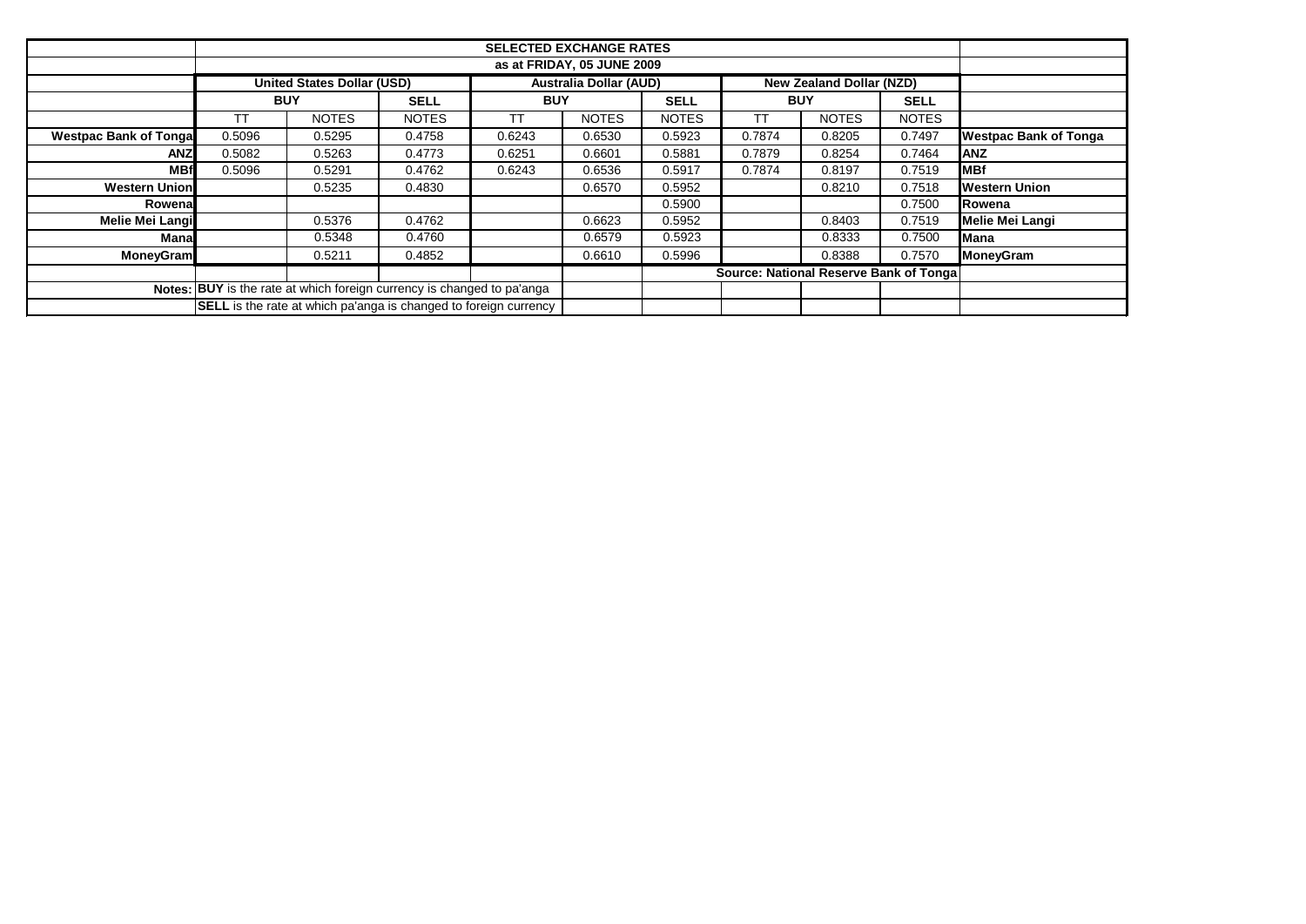|                                                                         | <b>SELECTED EXCHANGE RATES</b>                                         |                                   |              |            |                                 |                                        |            |              |              |                              |
|-------------------------------------------------------------------------|------------------------------------------------------------------------|-----------------------------------|--------------|------------|---------------------------------|----------------------------------------|------------|--------------|--------------|------------------------------|
|                                                                         |                                                                        |                                   |              |            |                                 |                                        |            |              |              |                              |
|                                                                         |                                                                        | <b>United States Dollar (USD)</b> |              |            | <b>New Zealand Dollar (NZD)</b> |                                        |            |              |              |                              |
|                                                                         | <b>BUY</b>                                                             |                                   | <b>SELL</b>  | <b>BUY</b> |                                 | <b>SELL</b>                            | <b>BUY</b> |              | <b>SELL</b>  |                              |
|                                                                         | ТT                                                                     | <b>NOTES</b>                      | <b>NOTES</b> | <b>TT</b>  | <b>NOTES</b>                    | <b>NOTES</b>                           | ТT         | <b>NOTES</b> | <b>NOTES</b> |                              |
| <b>Westpac Bank of Tongal</b>                                           | 0.5096                                                                 | 0.5295                            | 0.4758       | 0.6243     | 0.6530                          | 0.5923                                 | 0.7874     | 0.8205       | 0.7497       | <b>Westpac Bank of Tonga</b> |
| <b>ANZ</b>                                                              | 0.5082                                                                 | 0.5263                            | 0.4773       | 0.6251     | 0.6601                          | 0.5881                                 | 0.7879     | 0.8254       | 0.7464       | <b>IANZ</b>                  |
| <b>MBf</b>                                                              | 0.5096                                                                 | 0.5291                            | 0.4762       | 0.6243     | 0.6536                          | 0.5917                                 | 0.7874     | 0.8197       | 0.7519       | <b>MBf</b>                   |
| <b>Western Union</b>                                                    |                                                                        | 0.5235                            | 0.4830       |            | 0.6570                          | 0.5952                                 |            | 0.8210       | 0.7518       | <b>Western Union</b>         |
| Rowena                                                                  |                                                                        |                                   |              |            |                                 | 0.5900                                 |            |              | 0.7500       | Rowena                       |
| Melie Mei Langi                                                         |                                                                        | 0.5376                            | 0.4762       |            | 0.6623                          | 0.5952                                 |            | 0.8403       | 0.7519       | Melie Mei Langi              |
| Mana                                                                    |                                                                        | 0.5348                            | 0.4760       |            | 0.6579                          | 0.5923                                 |            | 0.8333       | 0.7500       | Mana                         |
| <b>MoneyGram</b>                                                        |                                                                        | 0.5211                            | 0.4852       |            | 0.6610                          | 0.5996                                 |            | 0.8388       | 0.7570       | <b>MoneyGram</b>             |
|                                                                         |                                                                        |                                   |              |            |                                 | Source: National Reserve Bank of Tonga |            |              |              |                              |
|                                                                         | Notes: BUY is the rate at which foreign currency is changed to pa'anga |                                   |              |            |                                 |                                        |            |              |              |                              |
| <b>SELL</b> is the rate at which pa'anga is changed to foreign currency |                                                                        |                                   |              |            |                                 |                                        |            |              |              |                              |
|                                                                         |                                                                        |                                   |              |            |                                 |                                        |            |              |              |                              |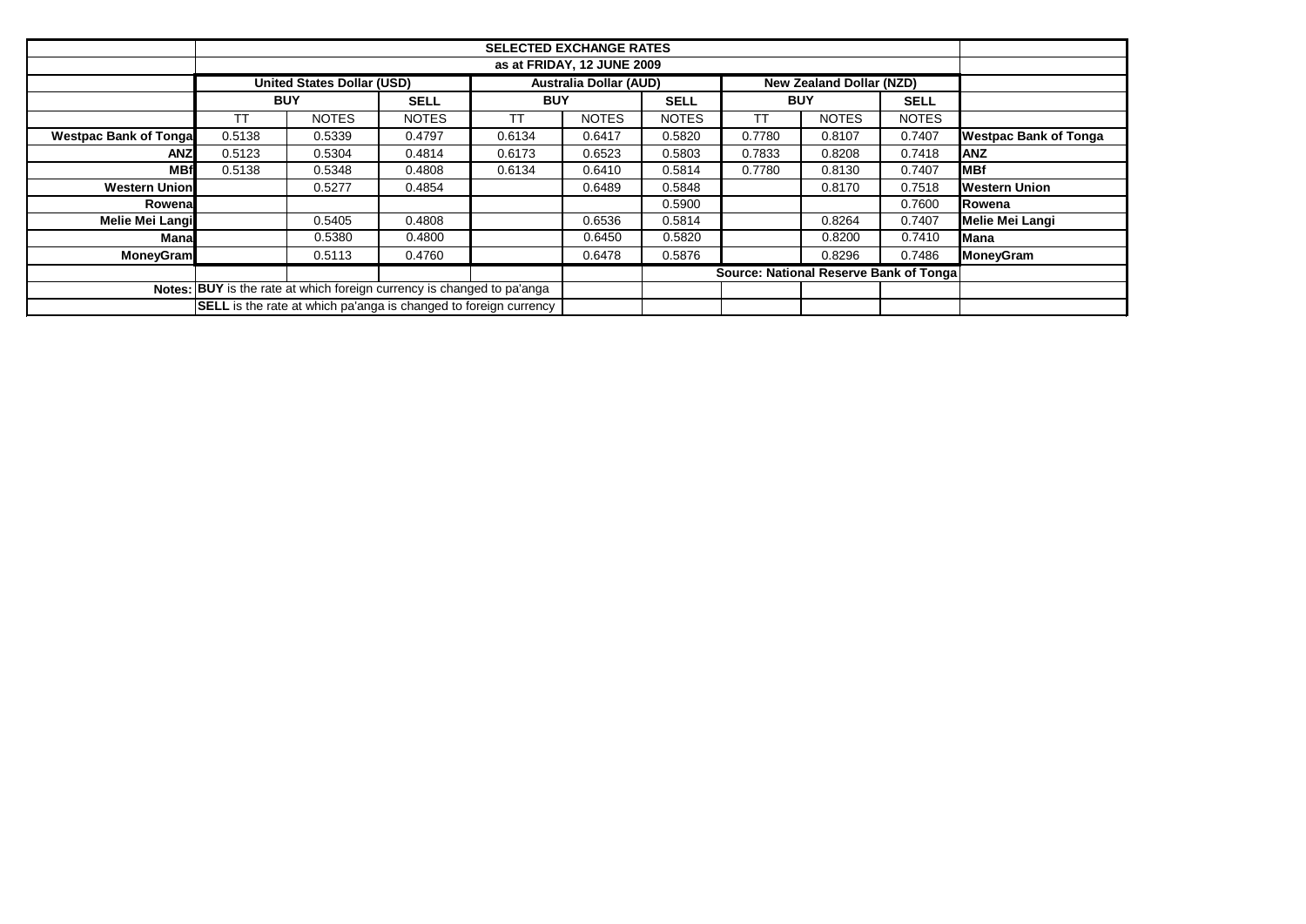|                                                                         | <b>SELECTED EXCHANGE RATES</b>    |                                 |              |            |              |                                        |            |              |              |                              |
|-------------------------------------------------------------------------|-----------------------------------|---------------------------------|--------------|------------|--------------|----------------------------------------|------------|--------------|--------------|------------------------------|
|                                                                         |                                   |                                 |              |            |              |                                        |            |              |              |                              |
|                                                                         | <b>United States Dollar (USD)</b> | <b>New Zealand Dollar (NZD)</b> |              |            |              |                                        |            |              |              |                              |
|                                                                         | <b>BUY</b>                        |                                 | <b>SELL</b>  | <b>BUY</b> |              | <b>SELL</b>                            | <b>BUY</b> |              | <b>SELL</b>  |                              |
|                                                                         | ТT                                | <b>NOTES</b>                    | <b>NOTES</b> | <b>TT</b>  | <b>NOTES</b> | <b>NOTES</b>                           | <b>TT</b>  | <b>NOTES</b> | <b>NOTES</b> |                              |
| <b>Westpac Bank of Tongal</b>                                           | 0.5138                            | 0.5339                          | 0.4797       | 0.6134     | 0.6417       | 0.5820                                 | 0.7780     | 0.8107       | 0.7407       | <b>Westpac Bank of Tonga</b> |
| <b>ANZ</b>                                                              | 0.5123                            | 0.5304                          | 0.4814       | 0.6173     | 0.6523       | 0.5803                                 | 0.7833     | 0.8208       | 0.7418       | <b>ANZ</b>                   |
| <b>MBf</b>                                                              | 0.5138                            | 0.5348                          | 0.4808       | 0.6134     | 0.6410       | 0.5814                                 | 0.7780     | 0.8130       | 0.7407       | <b>MBf</b>                   |
| <b>Western Union</b>                                                    |                                   | 0.5277                          | 0.4854       |            | 0.6489       | 0.5848                                 |            | 0.8170       | 0.7518       | <b>Western Union</b>         |
| Rowena                                                                  |                                   |                                 |              |            |              | 0.5900                                 |            |              | 0.7600       | Rowena                       |
| <b>Melie Mei Langi</b>                                                  |                                   | 0.5405                          | 0.4808       |            | 0.6536       | 0.5814                                 |            | 0.8264       | 0.7407       | Melie Mei Langi              |
| <b>Mana</b>                                                             |                                   | 0.5380                          | 0.4800       |            | 0.6450       | 0.5820                                 |            | 0.8200       | 0.7410       | Mana                         |
| <b>MoneyGram</b>                                                        |                                   | 0.5113                          | 0.4760       |            | 0.6478       | 0.5876                                 |            | 0.8296       | 0.7486       | <b>MoneyGram</b>             |
|                                                                         |                                   |                                 |              |            |              | Source: National Reserve Bank of Tonga |            |              |              |                              |
| Notes: BUY is the rate at which foreign currency is changed to pa'anga  |                                   |                                 |              |            |              |                                        |            |              |              |                              |
| <b>SELL</b> is the rate at which pa'anga is changed to foreign currency |                                   |                                 |              |            |              |                                        |            |              |              |                              |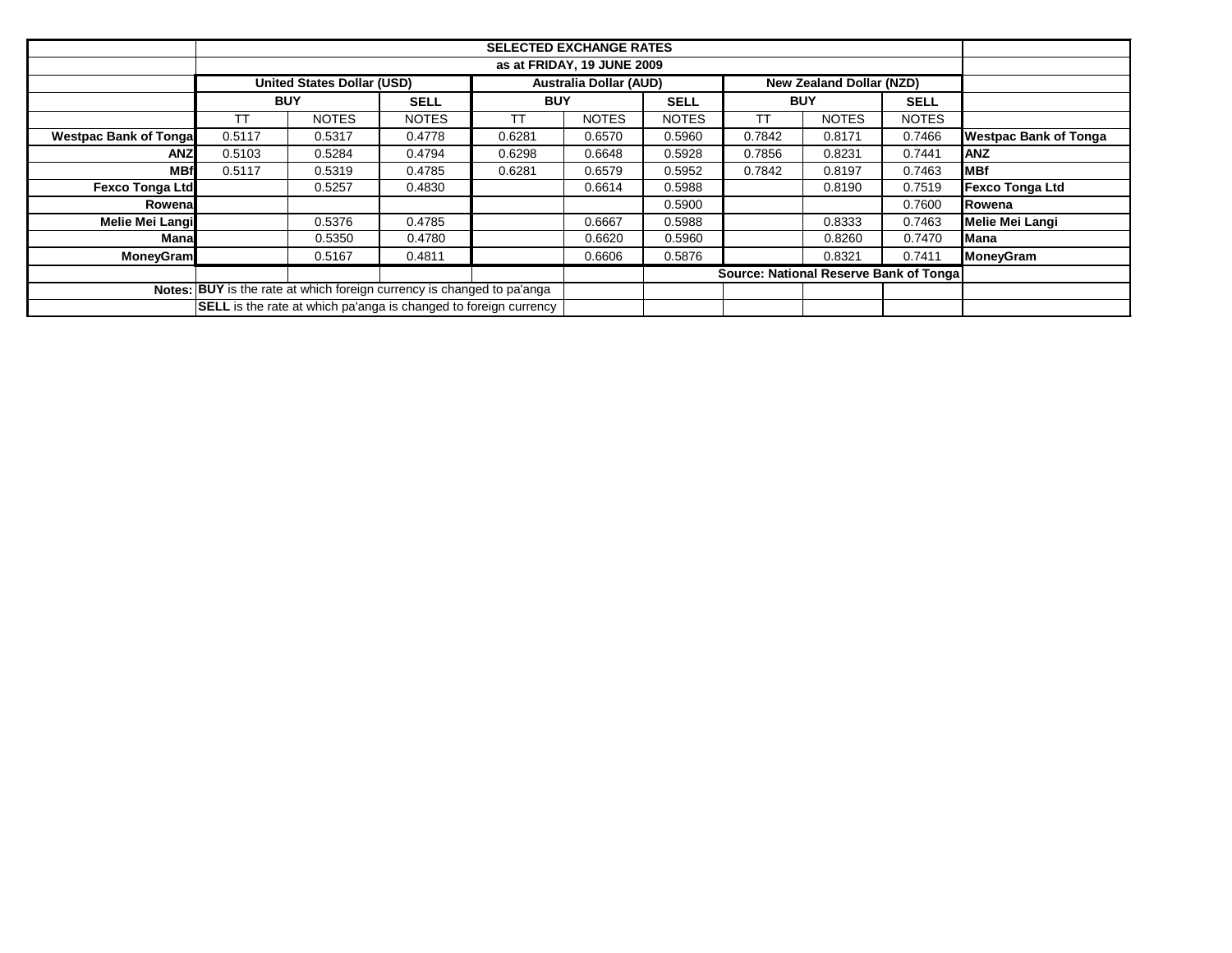|                               | <b>Australia Dollar (AUD)</b><br><b>United States Dollar (USD)</b><br>New Zealand Dollar (NZD) |              |                                                                         |            |              |              |            |              |              |                              |
|-------------------------------|------------------------------------------------------------------------------------------------|--------------|-------------------------------------------------------------------------|------------|--------------|--------------|------------|--------------|--------------|------------------------------|
|                               | <b>BUY</b>                                                                                     |              | <b>SELL</b>                                                             | <b>BUY</b> |              | <b>SELL</b>  | <b>BUY</b> |              | <b>SELL</b>  |                              |
|                               | ТT                                                                                             | <b>NOTES</b> | <b>NOTES</b>                                                            | ТT         | <b>NOTES</b> | <b>NOTES</b> | ТT         | <b>NOTES</b> | <b>NOTES</b> |                              |
| <b>Westpac Bank of Tongal</b> | 0.5117                                                                                         | 0.5317       | 0.4778                                                                  | 0.6281     | 0.6570       | 0.5960       | 0.7842     | 0.8171       | 0.7466       | <b>Westpac Bank of Tonga</b> |
| ANZI                          | 0.5103                                                                                         | 0.5284       | 0.4794                                                                  | 0.6298     | 0.6648       | 0.5928       | 0.7856     | 0.8231       | 0.7441       | <b>ANZ</b>                   |
| <b>MBf</b>                    | 0.5117                                                                                         | 0.5319       | 0.4785                                                                  | 0.6281     | 0.6579       | 0.5952       | 0.7842     | 0.8197       | 0.7463       | <b>MBf</b>                   |
| Fexco Tonga Ltd               |                                                                                                | 0.5257       | 0.4830                                                                  |            | 0.6614       | 0.5988       |            | 0.8190       | 0.7519       | <b>Fexco Tonga Ltd</b>       |
| Rowenal                       |                                                                                                |              |                                                                         |            |              | 0.5900       |            |              | 0.7600       | Rowena                       |
| Melie Mei Langi               |                                                                                                | 0.5376       | 0.4785                                                                  |            | 0.6667       | 0.5988       |            | 0.8333       | 0.7463       | <b>Melie Mei Langi</b>       |
| Manal                         |                                                                                                | 0.5350       | 0.4780                                                                  |            | 0.6620       | 0.5960       |            | 0.8260       | 0.7470       | <b>I</b> Mana                |
| <b>MoneyGram</b>              |                                                                                                | 0.5167       | 0.4811                                                                  |            | 0.6606       | 0.5876       |            | 0.8321       | 0.7411       | <b>MoneyGram</b>             |
|                               | Source: National Reserve Bank of Tonga                                                         |              |                                                                         |            |              |              |            |              |              |                              |
|                               | Notes: BUY is the rate at which foreign currency is changed to pa'anga                         |              |                                                                         |            |              |              |            |              |              |                              |
|                               |                                                                                                |              | <b>SELL</b> is the rate at which pa'anga is changed to foreign currency |            |              |              |            |              |              |                              |